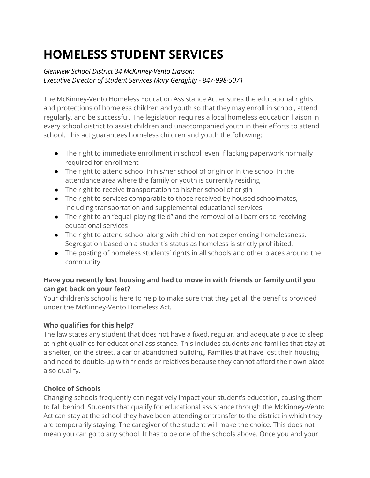# **HOMELESS STUDENT SERVICES**

# *Glenview School District 34 McKinney-Vento Liaison: Executive Director of Student Services Mary Geraghty - 847-998-5071*

The McKinney-Vento Homeless Education Assistance Act ensures the educational rights and protections of homeless children and youth so that they may enroll in school, attend regularly, and be successful. The legislation requires a local homeless education liaison in every school district to assist children and unaccompanied youth in their efforts to attend school. This act guarantees homeless children and youth the following:

- The right to immediate enrollment in school, even if lacking paperwork normally required for enrollment
- The right to attend school in his/her school of origin or in the school in the attendance area where the family or youth is currently residing
- The right to receive transportation to his/her school of origin
- The right to services comparable to those received by housed schoolmates, including transportation and supplemental educational services
- The right to an "equal playing field" and the removal of all barriers to receiving educational services
- The right to attend school along with children not experiencing homelessness. Segregation based on a student's status as homeless is strictly prohibited.
- The posting of homeless students' rights in all schools and other places around the community.

# **Have you recently lost housing and had to move in with friends or family until you can get back on your feet?**

Your children's school is here to help to make sure that they get all the benefits provided under the McKinney-Vento Homeless Act.

# **Who qualifies for this help?**

The law states any student that does not have a fixed, regular, and adequate place to sleep at night qualifies for educational assistance. This includes students and families that stay at a shelter, on the street, a car or abandoned building. Families that have lost their housing and need to double-up with friends or relatives because they cannot afford their own place also qualify.

# **Choice of Schools**

Changing schools frequently can negatively impact your student's education, causing them to fall behind. Students that qualify for educational assistance through the McKinney-Vento Act can stay at the school they have been attending or transfer to the district in which they are temporarily staying. The caregiver of the student will make the choice. This does not mean you can go to any school. It has to be one of the schools above. Once you and your